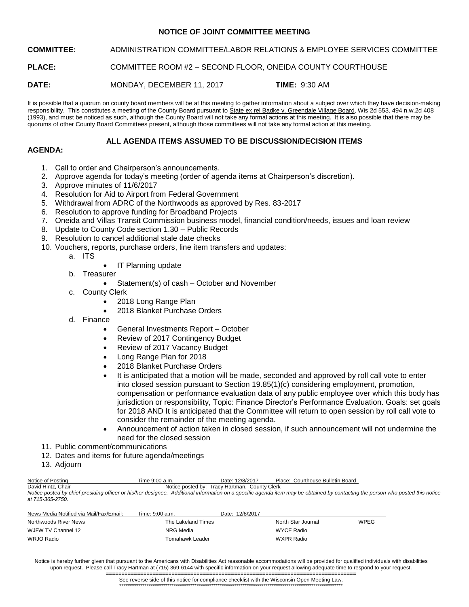## **NOTICE OF JOINT COMMITTEE MEETING**

**COMMITTEE:** ADMINISTRATION COMMITTEE/LABOR RELATIONS & EMPLOYEE SERVICES COMMITTEE

**PLACE:** COMMITTEE ROOM #2 – SECOND FLOOR, ONEIDA COUNTY COURTHOUSE

**DATE:** MONDAY, DECEMBER 11, 2017 **TIME:** 9:30 AM

It is possible that a quorum on county board members will be at this meeting to gather information about a subject over which they have decision-making responsibility. This constitutes a meeting of the County Board pursuant to State ex rel Badke v. Greendale Village Board, Wis 2d 553, 494 n.w.2d 408 (1993), and must be noticed as such, although the County Board will not take any formal actions at this meeting. It is also possible that there may be quorums of other County Board Committees present, although those committees will not take any formal action at this meeting.

# **ALL AGENDA ITEMS ASSUMED TO BE DISCUSSION/DECISION ITEMS**

# **AGENDA:**

- 1. Call to order and Chairperson's announcements.
- 2. Approve agenda for today's meeting (order of agenda items at Chairperson's discretion).
- 3. Approve minutes of 11/6/2017
- 4. Resolution for Aid to Airport from Federal Government
- 5. Withdrawal from ADRC of the Northwoods as approved by Res. 83-2017
- 6. Resolution to approve funding for Broadband Projects
- 7. Oneida and Villas Transit Commission business model, financial condition/needs, issues and loan review
- 8. Update to County Code section 1.30 Public Records
- 9. Resolution to cancel additional stale date checks
- 10. Vouchers, reports, purchase orders, line item transfers and updates:
	- a. ITS
- IT Planning update
- b. Treasurer
	- Statement(s) of cash October and November
- c. County Clerk
	- 2018 Long Range Plan
	- 2018 Blanket Purchase Orders
- d. Finance
	- General Investments Report October
	- Review of 2017 Contingency Budget
	- Review of 2017 Vacancy Budget
	- Long Range Plan for 2018
	- 2018 Blanket Purchase Orders
	- It is anticipated that a motion will be made, seconded and approved by roll call vote to enter into closed session pursuant to Section 19.85(1)(c) considering employment, promotion, compensation or performance evaluation data of any public employee over which this body has jurisdiction or responsibility, Topic: Finance Director's Performance Evaluation. Goals: set goals for 2018 AND It is anticipated that the Committee will return to open session by roll call vote to consider the remainder of the meeting agenda.
	- Announcement of action taken in closed session, if such announcement will not undermine the need for the closed session
- 11. Public comment/communications
- 12. Dates and items for future agenda/meetings
- 13. Adjourn

| Notice of Postina  | Time 9:00 a.m.                                                                                                                                                                 | Date: 12/8/2017                               | Place: Courthouse Bulletin Board |  |
|--------------------|--------------------------------------------------------------------------------------------------------------------------------------------------------------------------------|-----------------------------------------------|----------------------------------|--|
| David Hintz, Chair |                                                                                                                                                                                | Notice posted by: Tracy Hartman, County Clerk |                                  |  |
|                    | Notice posted by chief presiding officer or his/her designee. Additional information on a specific agenda item may be obtained by contacting the person who posted this notice |                                               |                                  |  |
| at 715-365-2750.   |                                                                                                                                                                                |                                               |                                  |  |

| News Media Notified via Mail/Fax/Email: | Time: 9:00 a.m.    | Date: 12/8/2017            |  |
|-----------------------------------------|--------------------|----------------------------|--|
| Northwoods River News                   | The Lakeland Times | WPEG<br>North Star Journal |  |
| WJFW TV Channel 12                      | NRG Media          | WYCE Radio                 |  |
| WRJO Radio                              | Tomahawk Leader    | WXPR Radio                 |  |

Notice is hereby further given that pursuant to the Americans with Disabilities Act reasonable accommodations will be provided for qualified individuals with disabilities upon request. Please call Tracy Hartman at (715) 369-6144 with specific information on your request allowing adequate time to respond to your request.